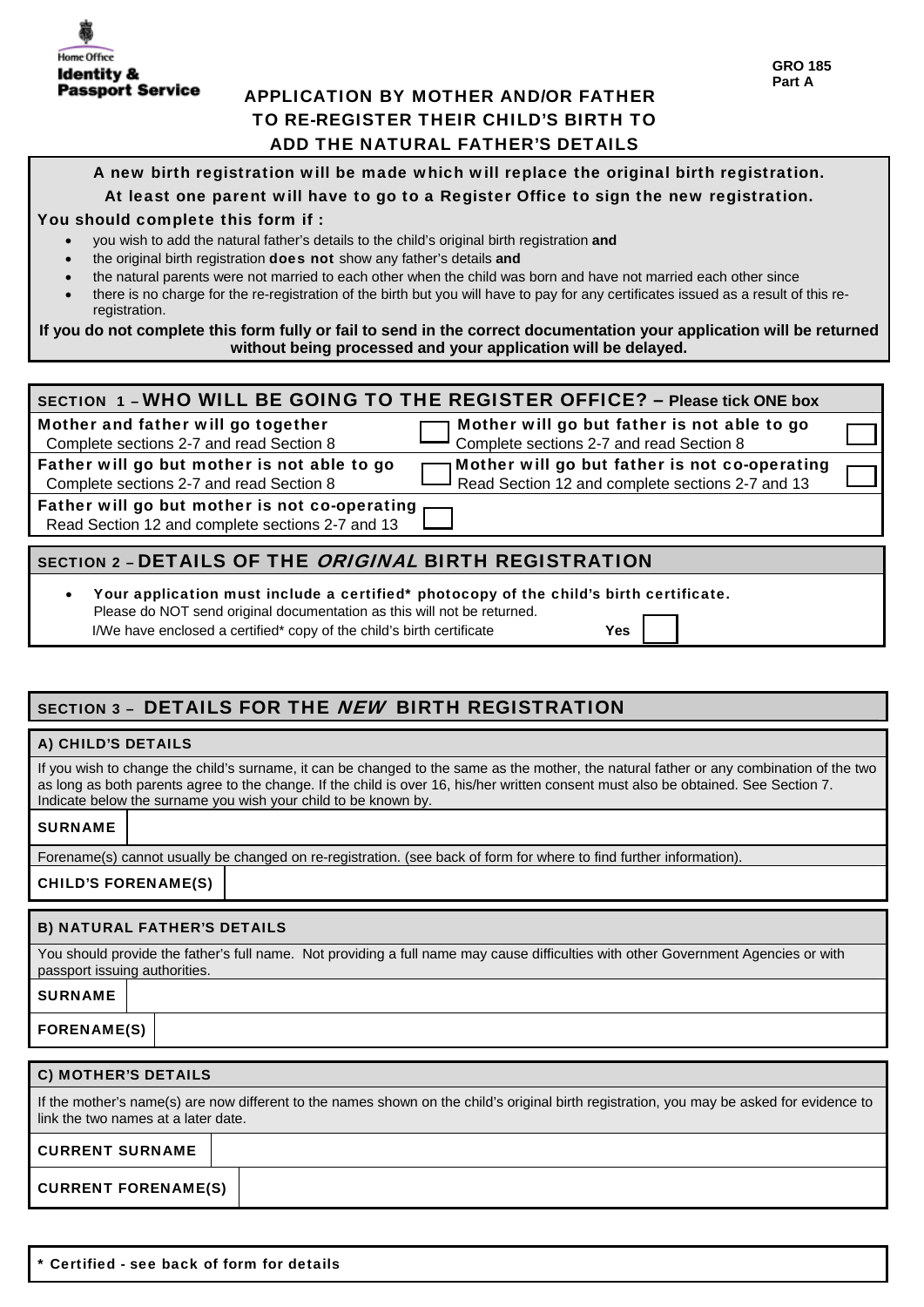# APPLICATION BY MOTHER AND/OR FATHER TO RE-REGISTER THEIR CHILD'S BIRTH TO ADD THE NATURAL FATHER'S DETAILS

#### A new birth registration will be made which will replace the original birth registration.

### At least one parent will have to go to a Register Office to sign the new registration.

#### You should complete this form if :

- you wish to add the natural father's details to the child's original birth registration **and**
- the original birth registration does not show any father's details **and**
- the natural parents were not married to each other when the child was born and have not married each other since
- there is no charge for the re-registration of the birth but you will have to pay for any certificates issued as a result of this reregistration.

**If you do not complete this form fully or fail to send in the correct documentation your application will be returned without being processed and your application will be delayed.** 

| SECTION 1 - WHO WILL BE GOING TO THE REGISTER OFFICE? - Please tick ONE box                       |                                                                                                   |  |  |  |
|---------------------------------------------------------------------------------------------------|---------------------------------------------------------------------------------------------------|--|--|--|
| Mother and father will go together<br>Complete sections 2-7 and read Section 8                    | Mother will go but father is not able to go<br>Complete sections 2-7 and read Section 8           |  |  |  |
| Father will go but mother is not able to go<br>Complete sections 2-7 and read Section 8           | Mother will go but father is not co-operating<br>Read Section 12 and complete sections 2-7 and 13 |  |  |  |
| Father will go but mother is not co-operating<br>Read Section 12 and complete sections 2-7 and 13 |                                                                                                   |  |  |  |
| SECTION 2 - DETAILS OF THE <i>ORIGINAL</i> BIRTH REGISTRATION                                     |                                                                                                   |  |  |  |
| $\bullet$<br>Please do NOT send original documentation as this will not be returned.              | Your application must include a certified* photocopy of the child's birth certificate.            |  |  |  |

# SECTION 3 - DETAILS FOR THE NEW BIRTH REGISTRATION

I/We have enclosed a certified\* copy of the child's birth certificate **Yes**

| A) CHILD'S DETAILS                 |                                                                                                                                                                                                                                                                                                                                                   |
|------------------------------------|---------------------------------------------------------------------------------------------------------------------------------------------------------------------------------------------------------------------------------------------------------------------------------------------------------------------------------------------------|
|                                    | If you wish to change the child's surname, it can be changed to the same as the mother, the natural father or any combination of the two<br>as long as both parents agree to the change. If the child is over 16, his/her written consent must also be obtained. See Section 7.<br>Indicate below the surname you wish your child to be known by. |
| <b>SURNAME</b>                     |                                                                                                                                                                                                                                                                                                                                                   |
|                                    | Forename(s) cannot usually be changed on re-registration. (see back of form for where to find further information).                                                                                                                                                                                                                               |
| <b>CHILD'S FORENAME(S)</b>         |                                                                                                                                                                                                                                                                                                                                                   |
| <b>B) NATURAL FATHER'S DETAILS</b> |                                                                                                                                                                                                                                                                                                                                                   |
| passport issuing authorities.      | You should provide the father's full name. Not providing a full name may cause difficulties with other Government Agencies or with                                                                                                                                                                                                                |

| <b>SURNAME</b>     |  |  |  |  |  |
|--------------------|--|--|--|--|--|
| <b>FORENAME(S)</b> |  |  |  |  |  |
|                    |  |  |  |  |  |

| <b>C) MOTHER'S DETAILS</b>                                                                                                                                                       |  |  |  |  |  |
|----------------------------------------------------------------------------------------------------------------------------------------------------------------------------------|--|--|--|--|--|
| If the mother's name(s) are now different to the names shown on the child's original birth registration, you may be asked for evidence to<br>link the two names at a later date. |  |  |  |  |  |
| <b>CURRENT SURNAME</b>                                                                                                                                                           |  |  |  |  |  |
| <b>CURRENT FORENAME(S)</b>                                                                                                                                                       |  |  |  |  |  |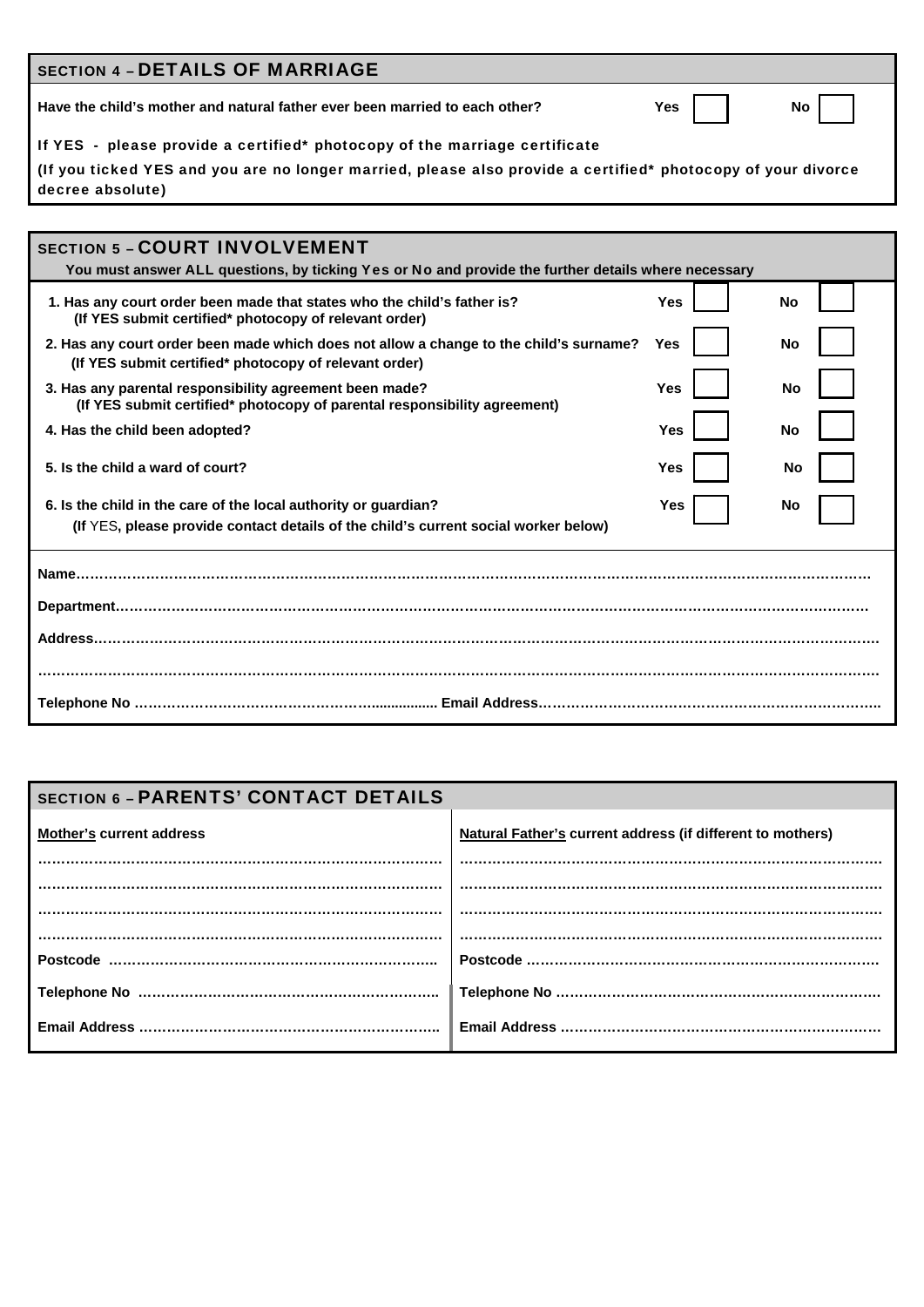| <b>SECTION 4 - DETAILS OF MARRIAGE</b>                                                                                             |               |  |  |  |
|------------------------------------------------------------------------------------------------------------------------------------|---------------|--|--|--|
| Have the child's mother and natural father ever been married to each other?                                                        | No l<br>Yes I |  |  |  |
| If YES - please provide a certified* photocopy of the marriage certificate                                                         |               |  |  |  |
| l (If you ticked YES and you are no longer married, please also provide a certified* photocopy of your divorce<br>decree absolute) |               |  |  |  |

| <b>SECTION 5 - COURT INVOLVEMENT</b><br>You must answer ALL questions, by ticking Yes or No and provide the further details where necessary      |     |  |    |  |
|--------------------------------------------------------------------------------------------------------------------------------------------------|-----|--|----|--|
| 1. Has any court order been made that states who the child's father is?<br>(If YES submit certified* photocopy of relevant order)                | Yes |  | No |  |
| 2. Has any court order been made which does not allow a change to the child's surname?<br>(If YES submit certified* photocopy of relevant order) | Yes |  | No |  |
| 3. Has any parental responsibility agreement been made?<br>(If YES submit certified* photocopy of parental responsibility agreement)             | Yes |  | No |  |
| 4. Has the child been adopted?                                                                                                                   | Yes |  | No |  |
| 5. Is the child a ward of court?                                                                                                                 | Yes |  | No |  |
| 6. Is the child in the care of the local authority or guardian?                                                                                  | Yes |  | No |  |
| (If YES, please provide contact details of the child's current social worker below)                                                              |     |  |    |  |
| Name                                                                                                                                             |     |  |    |  |
| Address                                                                                                                                          |     |  |    |  |
|                                                                                                                                                  |     |  |    |  |

# **SECTION 6 - PARENTS' CONTACT DETAILS**

| <b>Mother's current address</b> | Natural Father's current address (if different to mothers) |
|---------------------------------|------------------------------------------------------------|
|                                 |                                                            |
|                                 |                                                            |
|                                 |                                                            |
|                                 |                                                            |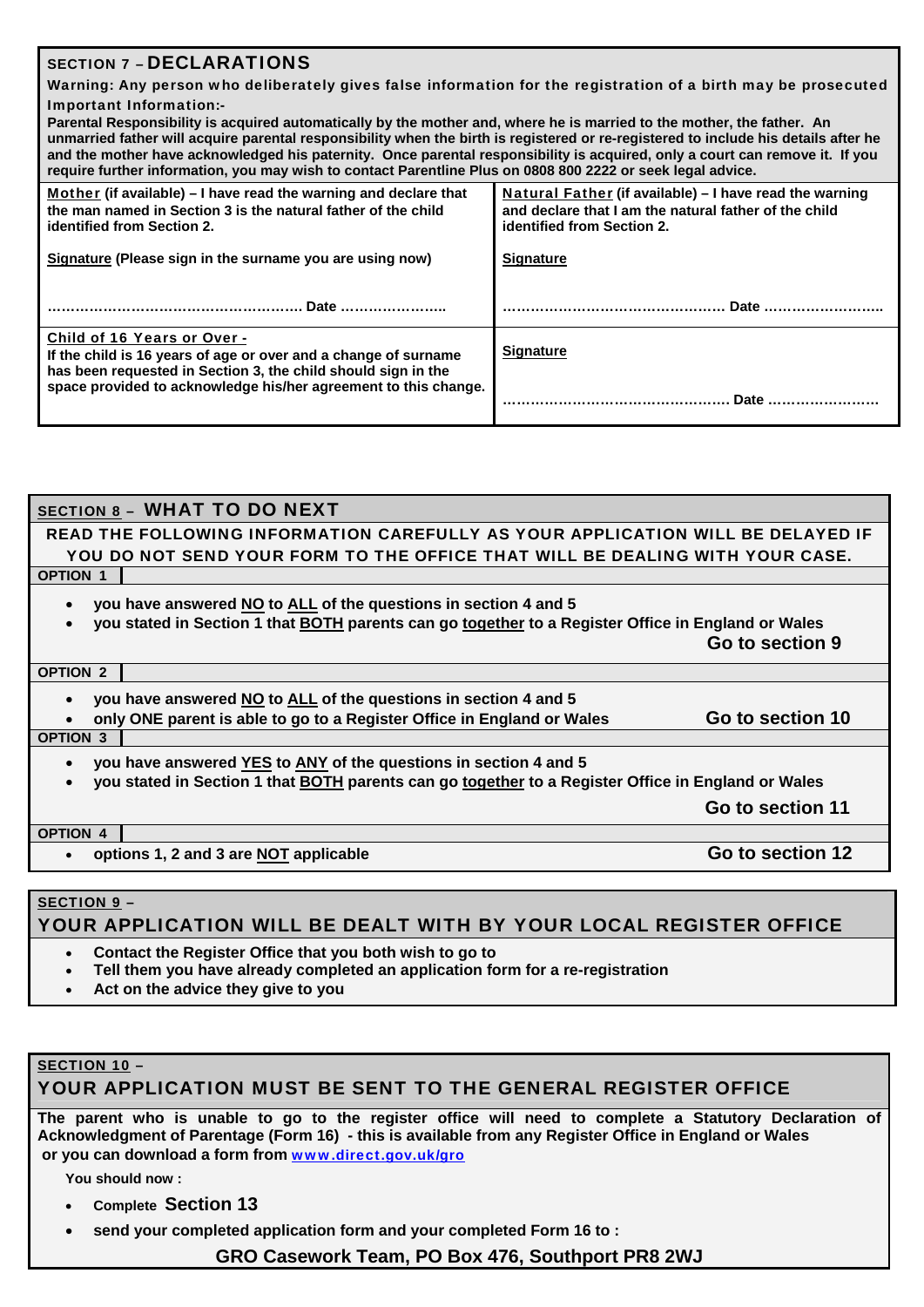### SECTION 7 – DECLARATIONS

Warning: Any person who deliberately gives false information for the registration of a birth may be prosecuted Important Information:-

| po.ur<br>Parental Responsibility is acquired automatically by the mother and, where he is married to the mother, the father. An<br>unmarried father will acquire parental responsibility when the birth is registered or re-registered to include his details after he<br>and the mother have acknowledged his paternity. Once parental responsibility is acquired, only a court can remove it. If you<br>require further information, you may wish to contact Parentline Plus on 0808 800 2222 or seek legal advice. |                                                                                                                                                |  |  |  |  |
|-----------------------------------------------------------------------------------------------------------------------------------------------------------------------------------------------------------------------------------------------------------------------------------------------------------------------------------------------------------------------------------------------------------------------------------------------------------------------------------------------------------------------|------------------------------------------------------------------------------------------------------------------------------------------------|--|--|--|--|
| Mother (if available) – I have read the warning and declare that<br>the man named in Section 3 is the natural father of the child<br>identified from Section 2.                                                                                                                                                                                                                                                                                                                                                       | Natural Father (if available) – I have read the warning<br>and declare that I am the natural father of the child<br>identified from Section 2. |  |  |  |  |
| Signature (Please sign in the surname you are using now)                                                                                                                                                                                                                                                                                                                                                                                                                                                              | <b>Signature</b>                                                                                                                               |  |  |  |  |
| Date                                                                                                                                                                                                                                                                                                                                                                                                                                                                                                                  | Date                                                                                                                                           |  |  |  |  |
| Child of 16 Years or Over -<br>If the child is 16 years of age or over and a change of surname<br>has been requested in Section 3, the child should sign in the                                                                                                                                                                                                                                                                                                                                                       | <b>Signature</b>                                                                                                                               |  |  |  |  |

#### SECTION 8 – WHAT TO DO NEXT

#### READ THE FOLLOWING INFORMATION CAREFULLY AS YOUR APPLICATION WILL BE DELAYED IF YOU DO NOT SEND YOUR FORM TO THE OFFICE THAT WILL BE DEALING WITH YOUR CASE. **OPTION 1**

**you have answered NO to ALL of the questions in section 4 and 5** 

**space provided to acknowledge his/her agreement to this change.** 

**you stated in Section 1 that BOTH parents can go together to a Register Office in England or Wales** 

 **Go to section 9**

**…………………………………………. Date ……………………** 

#### **OPTION 2**

- **you have answered NO to ALL of the questions in section 4 and 5**
- **only ONE parent is able to go to a Register Office in England or Wales Go to section 10 OPTION 3**

- **you have answered YES to ANY of the questions in section 4 and 5**
- **you stated in Section 1 that BOTH parents can go together to a Register Office in England or Wales**

 **Go to section 11**

#### **OPTION 4**

**•** options 1, 2 and 3 are NOT applicable **Go to section 12** 

#### SECTION 9 –

# YOUR APPLICATION WILL BE DEALT WITH BY YOUR LOCAL REGISTER OFFICE

- **Contact the Register Office that you both wish to go to**
- **Tell them you have already completed an application form for a re-registration**
- **Act on the advice they give to you**

## SECTION 10 –

#### YOUR APPLICATION MUST BE SENT TO THE GENERAL REGISTER OFFICE

**The parent who is unable to go to the register office will need to complete a Statutory Declaration of Acknowledgment of Parentage (Form 16) - this is available from any Register Office in England or Wales or you can download a form from** [www.direct.gov.uk/gro](http://www.direct.gov.uk/gro)

**You should now :** 

- **Complete Section 13**
- **send your completed application form and your completed Form 16 to :**

**GRO Casework Team, PO Box 476, Southport PR8 2WJ**